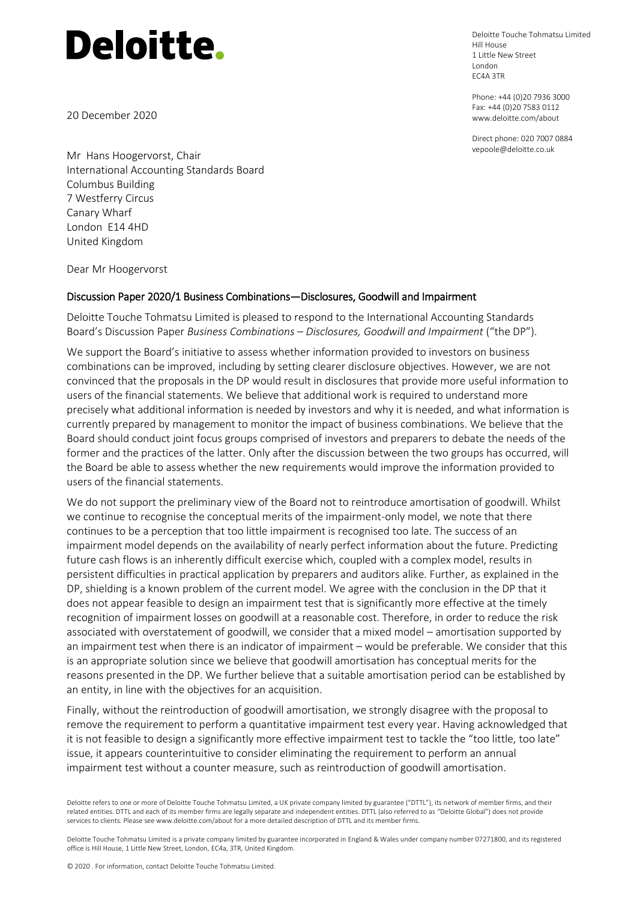20 December 2020

Deloitte Touche Tohmatsu Limited Hill House 1 Little New Street London EC4A 3TR

Phone: +44 (0)20 7936 3000 Fax: +44 (0)20 7583 0112 www.deloitte.com/about

Direct phone: 020 7007 0884 vepoole@deloitte.co.uk

Mr Hans Hoogervorst, Chair International Accounting Standards Board Columbus Building 7 Westferry Circus Canary Wharf London E14 4HD United Kingdom

Dear Mr Hoogervorst

#### Discussion Paper 2020/1 Business Combinations—Disclosures, Goodwill and Impairment

Deloitte Touche Tohmatsu Limited is pleased to respond to the International Accounting Standards Board's Discussion Paper *Business Combinations – Disclosures, Goodwill and Impairment* ("the DP").

We support the Board's initiative to assess whether information provided to investors on business combinations can be improved, including by setting clearer disclosure objectives. However, we are not convinced that the proposals in the DP would result in disclosures that provide more useful information to users of the financial statements. We believe that additional work is required to understand more precisely what additional information is needed by investors and why it is needed, and what information is currently prepared by management to monitor the impact of business combinations. We believe that the Board should conduct joint focus groups comprised of investors and preparers to debate the needs of the former and the practices of the latter. Only after the discussion between the two groups has occurred, will the Board be able to assess whether the new requirements would improve the information provided to users of the financial statements.

We do not support the preliminary view of the Board not to reintroduce amortisation of goodwill. Whilst we continue to recognise the conceptual merits of the impairment-only model, we note that there continues to be a perception that too little impairment is recognised too late. The success of an impairment model depends on the availability of nearly perfect information about the future. Predicting future cash flows is an inherently difficult exercise which, coupled with a complex model, results in persistent difficulties in practical application by preparers and auditors alike. Further, as explained in the DP, shielding is a known problem of the current model. We agree with the conclusion in the DP that it does not appear feasible to design an impairment test that is significantly more effective at the timely recognition of impairment losses on goodwill at a reasonable cost. Therefore, in order to reduce the risk associated with overstatement of goodwill, we consider that a mixed model – amortisation supported by an impairment test when there is an indicator of impairment – would be preferable. We consider that this is an appropriate solution since we believe that goodwill amortisation has conceptual merits for the reasons presented in the DP. We further believe that a suitable amortisation period can be established by an entity, in line with the objectives for an acquisition.

Finally, without the reintroduction of goodwill amortisation, we strongly disagree with the proposal to remove the requirement to perform a quantitative impairment test every year. Having acknowledged that it is not feasible to design a significantly more effective impairment test to tackle the "too little, too late" issue, it appears counterintuitive to consider eliminating the requirement to perform an annual impairment test without a counter measure, such as reintroduction of goodwill amortisation.

Deloitte refers to one or more of Deloitte Touche Tohmatsu Limited, a UK private company limited by guarantee ("DTTL"), its network of member firms, and their related entities. DTTL and each of its member firms are legally separate and independent entities. DTTL (also referred to as "Deloitte Global") does not provide services to clients. Please see www.deloitte.com/about for a more detailed description of DTTL and its member firms.

Deloitte Touche Tohmatsu Limited is a private company limited by guarantee incorporated in England & Wales under company number 07271800, and its registered office is Hill House, 1 Little New Street, London, EC4a, 3TR, United Kingdom.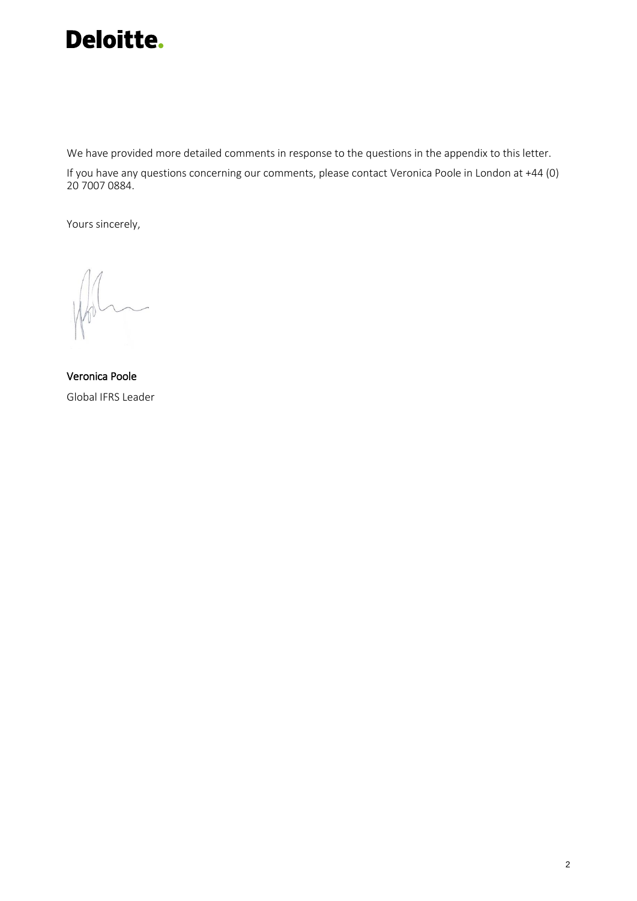

We have provided more detailed comments in response to the questions in the appendix to this letter.

If you have any questions concerning our comments, please contact Veronica Poole in London at +44 (0) 20 7007 0884.

Yours sincerely,

Veronica Poole Global IFRS Leader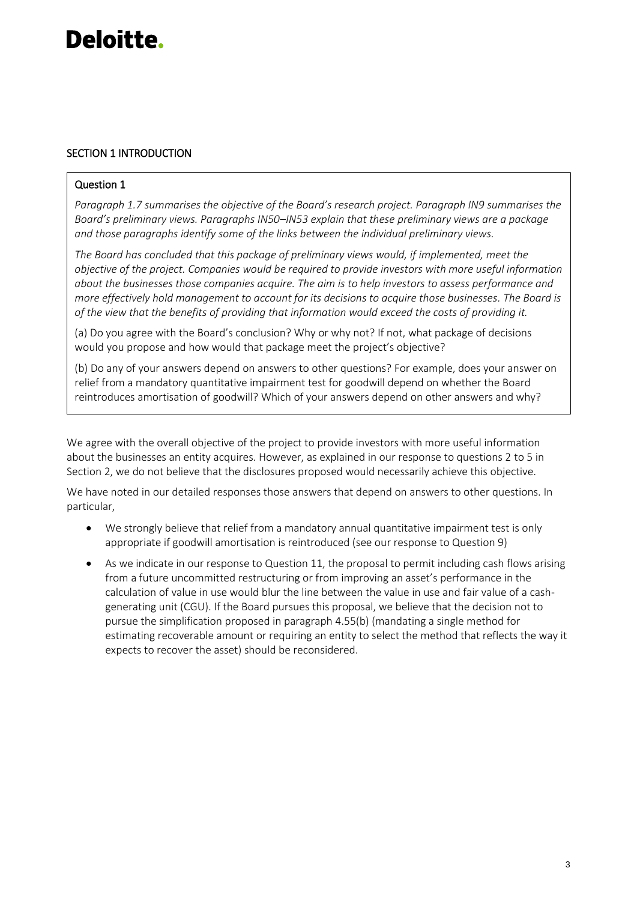#### SECTION 1 INTRODUCTION

#### Question 1

*Paragraph 1.7 summarises the objective of the Board's research project. Paragraph IN9 summarises the Board's preliminary views. Paragraphs IN50–IN53 explain that these preliminary views are a package and those paragraphs identify some of the links between the individual preliminary views.*

*The Board has concluded that this package of preliminary views would, if implemented, meet the objective of the project. Companies would be required to provide investors with more useful information about the businesses those companies acquire. The aim is to help investors to assess performance and more effectively hold management to account for its decisions to acquire those businesses. The Board is of the view that the benefits of providing that information would exceed the costs of providing it.*

(a) Do you agree with the Board's conclusion? Why or why not? If not, what package of decisions would you propose and how would that package meet the project's objective?

(b) Do any of your answers depend on answers to other questions? For example, does your answer on relief from a mandatory quantitative impairment test for goodwill depend on whether the Board reintroduces amortisation of goodwill? Which of your answers depend on other answers and why?

We agree with the overall objective of the project to provide investors with more useful information about the businesses an entity acquires. However, as explained in our response to questions 2 to 5 in Section 2, we do not believe that the disclosures proposed would necessarily achieve this objective.

We have noted in our detailed responses those answers that depend on answers to other questions. In particular,

- We strongly believe that relief from a mandatory annual quantitative impairment test is only appropriate if goodwill amortisation is reintroduced (see our response to Question 9)
- As we indicate in our response to Question 11, the proposal to permit including cash flows arising from a future uncommitted restructuring or from improving an asset's performance in the calculation of value in use would blur the line between the value in use and fair value of a cashgenerating unit (CGU). If the Board pursues this proposal, we believe that the decision not to pursue the simplification proposed in paragraph 4.55(b) (mandating a single method for estimating recoverable amount or requiring an entity to select the method that reflects the way it expects to recover the asset) should be reconsidered.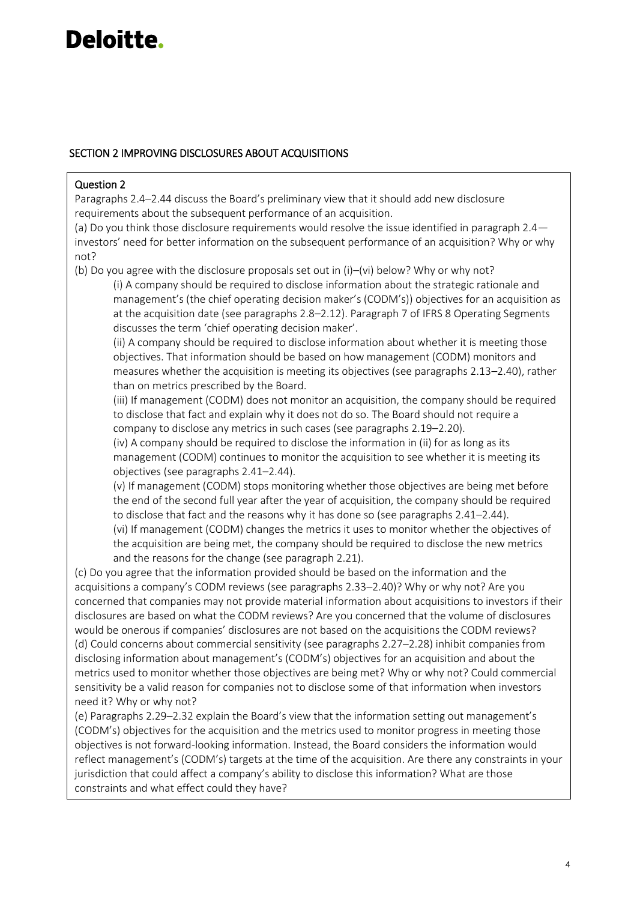#### SECTION 2 IMPROVING DISCLOSURES ABOUT ACQUISITIONS

#### Question 2

Paragraphs 2.4–2.44 discuss the Board's preliminary view that it should add new disclosure requirements about the subsequent performance of an acquisition.

(a) Do you think those disclosure requirements would resolve the issue identified in paragraph 2.4 investors' need for better information on the subsequent performance of an acquisition? Why or why not?

(b) Do you agree with the disclosure proposals set out in (i)–(vi) below? Why or why not?

(i) A company should be required to disclose information about the strategic rationale and management's (the chief operating decision maker's (CODM's)) objectives for an acquisition as at the acquisition date (see paragraphs 2.8–2.12). Paragraph 7 of IFRS 8 Operating Segments discusses the term 'chief operating decision maker'.

(ii) A company should be required to disclose information about whether it is meeting those objectives. That information should be based on how management (CODM) monitors and measures whether the acquisition is meeting its objectives (see paragraphs 2.13–2.40), rather than on metrics prescribed by the Board.

(iii) If management (CODM) does not monitor an acquisition, the company should be required to disclose that fact and explain why it does not do so. The Board should not require a company to disclose any metrics in such cases (see paragraphs 2.19–2.20).

(iv) A company should be required to disclose the information in (ii) for as long as its management (CODM) continues to monitor the acquisition to see whether it is meeting its objectives (see paragraphs 2.41–2.44).

(v) If management (CODM) stops monitoring whether those objectives are being met before the end of the second full year after the year of acquisition, the company should be required to disclose that fact and the reasons why it has done so (see paragraphs 2.41–2.44). (vi) If management (CODM) changes the metrics it uses to monitor whether the objectives of the acquisition are being met, the company should be required to disclose the new metrics and the reasons for the change (see paragraph 2.21).

(c) Do you agree that the information provided should be based on the information and the acquisitions a company's CODM reviews (see paragraphs 2.33–2.40)? Why or why not? Are you concerned that companies may not provide material information about acquisitions to investors if their disclosures are based on what the CODM reviews? Are you concerned that the volume of disclosures would be onerous if companies' disclosures are not based on the acquisitions the CODM reviews? (d) Could concerns about commercial sensitivity (see paragraphs 2.27–2.28) inhibit companies from disclosing information about management's (CODM's) objectives for an acquisition and about the metrics used to monitor whether those objectives are being met? Why or why not? Could commercial sensitivity be a valid reason for companies not to disclose some of that information when investors need it? Why or why not?

(e) Paragraphs 2.29–2.32 explain the Board's view that the information setting out management's (CODM's) objectives for the acquisition and the metrics used to monitor progress in meeting those objectives is not forward-looking information. Instead, the Board considers the information would reflect management's (CODM's) targets at the time of the acquisition. Are there any constraints in your jurisdiction that could affect a company's ability to disclose this information? What are those constraints and what effect could they have?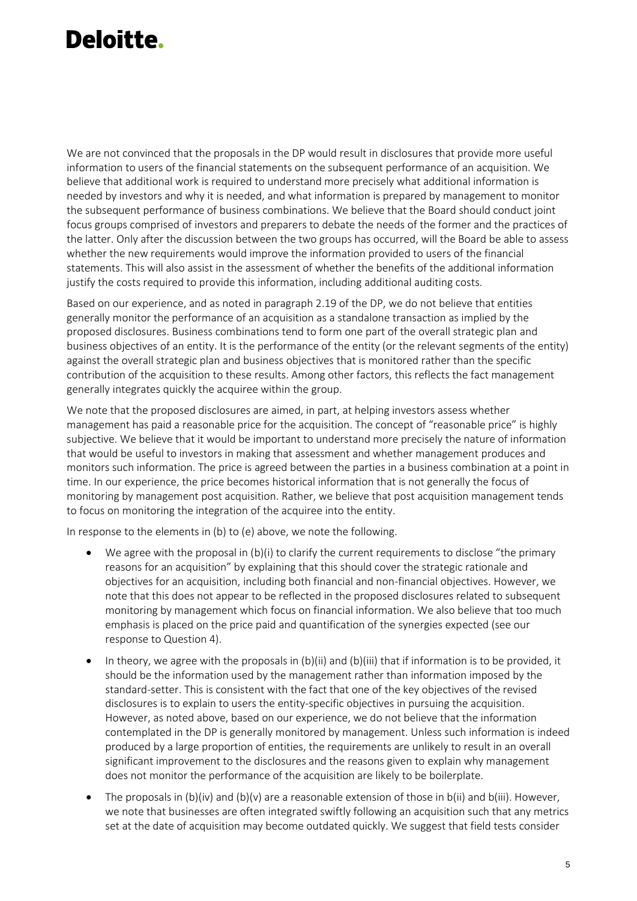We are not convinced that the proposals in the DP would result in disclosures that provide more useful information to users of the financial statements on the subsequent performance of an acquisition. We believe that additional work is required to understand more precisely what additional information is needed by investors and why it is needed, and what information is prepared by management to monitor the subsequent performance of business combinations. We believe that the Board should conduct joint focus groups comprised of investors and preparers to debate the needs of the former and the practices of the latter. Only after the discussion between the two groups has occurred, will the Board be able to assess whether the new requirements would improve the information provided to users of the financial statements. This will also assist in the assessment of whether the benefits of the additional information justify the costs required to provide this information, including additional auditing costs.

Based on our experience, and as noted in paragraph 2.19 of the DP, we do not believe that entities generally monitor the performance of an acquisition as a standalone transaction as implied by the proposed disclosures. Business combinations tend to form one part of the overall strategic plan and business objectives of an entity. It is the performance of the entity (or the relevant segments of the entity) against the overall strategic plan and business objectives that is monitored rather than the specific contribution of the acquisition to these results. Among other factors, this reflects the fact management generally integrates quickly the acquiree within the group.

We note that the proposed disclosures are aimed, in part, at helping investors assess whether management has paid a reasonable price for the acquisition. The concept of "reasonable price" is highly subjective. We believe that it would be important to understand more precisely the nature of information that would be useful to investors in making that assessment and whether management produces and monitors such information. The price is agreed between the parties in a business combination at a point in time. In our experience, the price becomes historical information that is not generally the focus of monitoring by management post acquisition. Rather, we believe that post acquisition management tends to focus on monitoring the integration of the acquiree into the entity.

In response to the elements in (b) to (e) above, we note the following.

- We agree with the proposal in (b)(i) to clarify the current requirements to disclose "the primary reasons for an acquisition" by explaining that this should cover the strategic rationale and objectives for an acquisition, including both financial and non-financial objectives. However, we note that this does not appear to be reflected in the proposed disclosures related to subsequent monitoring by management which focus on financial information. We also believe that too much emphasis is placed on the price paid and quantification of the synergies expected (see our response to Question 4).
- In theory, we agree with the proposals in (b)(ii) and (b)(iii) that if information is to be provided, it should be the information used by the management rather than information imposed by the standard-setter. This is consistent with the fact that one of the key objectives of the revised disclosures is to explain to users the entity-specific objectives in pursuing the acquisition. However, as noted above, based on our experience, we do not believe that the information contemplated in the DP is generally monitored by management. Unless such information is indeed produced by a large proportion of entities, the requirements are unlikely to result in an overall significant improvement to the disclosures and the reasons given to explain why management does not monitor the performance of the acquisition are likely to be boilerplate.
- The proposals in (b)(iv) and (b)(v) are a reasonable extension of those in b(ii) and b(iii). However, we note that businesses are often integrated swiftly following an acquisition such that any metrics set at the date of acquisition may become outdated quickly. We suggest that field tests consider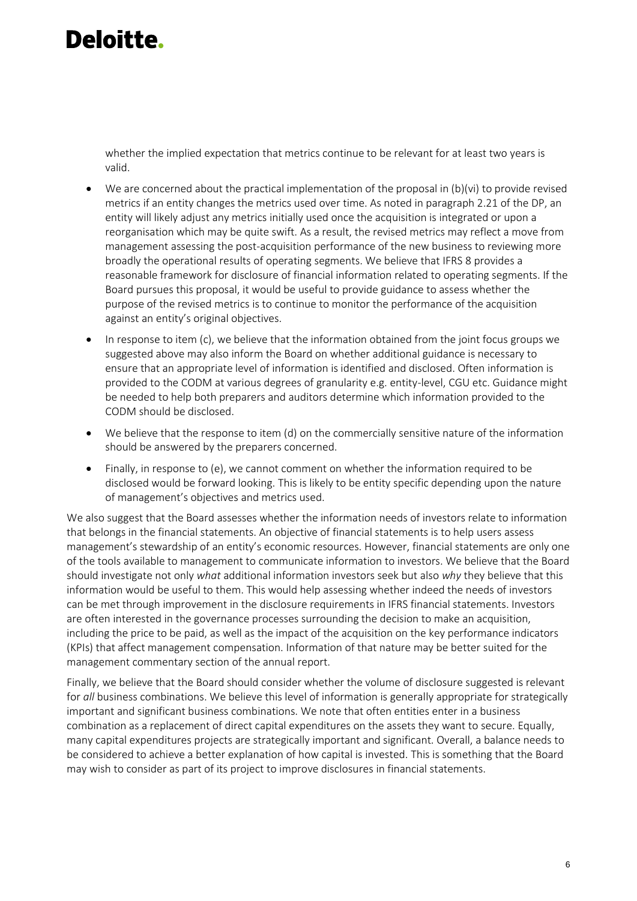whether the implied expectation that metrics continue to be relevant for at least two years is valid.

- We are concerned about the practical implementation of the proposal in (b)(vi) to provide revised metrics if an entity changes the metrics used over time. As noted in paragraph 2.21 of the DP, an entity will likely adjust any metrics initially used once the acquisition is integrated or upon a reorganisation which may be quite swift. As a result, the revised metrics may reflect a move from management assessing the post-acquisition performance of the new business to reviewing more broadly the operational results of operating segments. We believe that IFRS 8 provides a reasonable framework for disclosure of financial information related to operating segments. If the Board pursues this proposal, it would be useful to provide guidance to assess whether the purpose of the revised metrics is to continue to monitor the performance of the acquisition against an entity's original objectives.
- In response to item (c), we believe that the information obtained from the joint focus groups we suggested above may also inform the Board on whether additional guidance is necessary to ensure that an appropriate level of information is identified and disclosed. Often information is provided to the CODM at various degrees of granularity e.g. entity-level, CGU etc. Guidance might be needed to help both preparers and auditors determine which information provided to the CODM should be disclosed.
- We believe that the response to item (d) on the commercially sensitive nature of the information should be answered by the preparers concerned.
- Finally, in response to (e), we cannot comment on whether the information required to be disclosed would be forward looking. This is likely to be entity specific depending upon the nature of management's objectives and metrics used.

We also suggest that the Board assesses whether the information needs of investors relate to information that belongs in the financial statements. An objective of financial statements is to help users assess management's stewardship of an entity's economic resources. However, financial statements are only one of the tools available to management to communicate information to investors. We believe that the Board should investigate not only *what* additional information investors seek but also *why* they believe that this information would be useful to them. This would help assessing whether indeed the needs of investors can be met through improvement in the disclosure requirements in IFRS financial statements. Investors are often interested in the governance processes surrounding the decision to make an acquisition, including the price to be paid, as well as the impact of the acquisition on the key performance indicators (KPIs) that affect management compensation. Information of that nature may be better suited for the management commentary section of the annual report.

Finally, we believe that the Board should consider whether the volume of disclosure suggested is relevant for *all* business combinations. We believe this level of information is generally appropriate for strategically important and significant business combinations. We note that often entities enter in a business combination as a replacement of direct capital expenditures on the assets they want to secure. Equally, many capital expenditures projects are strategically important and significant. Overall, a balance needs to be considered to achieve a better explanation of how capital is invested. This is something that the Board may wish to consider as part of its project to improve disclosures in financial statements.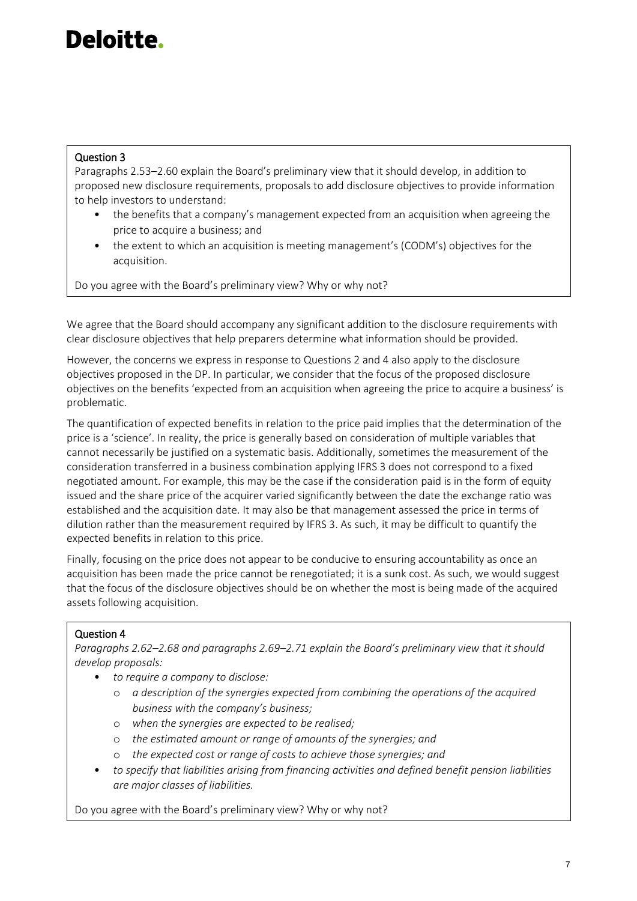#### Question 3

Paragraphs 2.53–2.60 explain the Board's preliminary view that it should develop, in addition to proposed new disclosure requirements, proposals to add disclosure objectives to provide information to help investors to understand:

- the benefits that a company's management expected from an acquisition when agreeing the price to acquire a business; and
- the extent to which an acquisition is meeting management's (CODM's) objectives for the acquisition.

Do you agree with the Board's preliminary view? Why or why not?

We agree that the Board should accompany any significant addition to the disclosure requirements with clear disclosure objectives that help preparers determine what information should be provided.

However, the concerns we express in response to Questions 2 and 4 also apply to the disclosure objectives proposed in the DP. In particular, we consider that the focus of the proposed disclosure objectives on the benefits 'expected from an acquisition when agreeing the price to acquire a business' is problematic.

The quantification of expected benefits in relation to the price paid implies that the determination of the price is a 'science'. In reality, the price is generally based on consideration of multiple variables that cannot necessarily be justified on a systematic basis. Additionally, sometimes the measurement of the consideration transferred in a business combination applying IFRS 3 does not correspond to a fixed negotiated amount. For example, this may be the case if the consideration paid is in the form of equity issued and the share price of the acquirer varied significantly between the date the exchange ratio was established and the acquisition date. It may also be that management assessed the price in terms of dilution rather than the measurement required by IFRS 3. As such, it may be difficult to quantify the expected benefits in relation to this price.

Finally, focusing on the price does not appear to be conducive to ensuring accountability as once an acquisition has been made the price cannot be renegotiated; it is a sunk cost. As such, we would suggest that the focus of the disclosure objectives should be on whether the most is being made of the acquired assets following acquisition.

#### Question 4

*Paragraphs 2.62–2.68 and paragraphs 2.69–2.71 explain the Board's preliminary view that it should develop proposals:*

- *to require a company to disclose:*
	- o *a description of the synergies expected from combining the operations of the acquired business with the company's business;*
	- o *when the synergies are expected to be realised;*
	- o *the estimated amount or range of amounts of the synergies; and*
	- o *the expected cost or range of costs to achieve those synergies; and*
- *to specify that liabilities arising from financing activities and defined benefit pension liabilities are major classes of liabilities.*

Do you agree with the Board's preliminary view? Why or why not?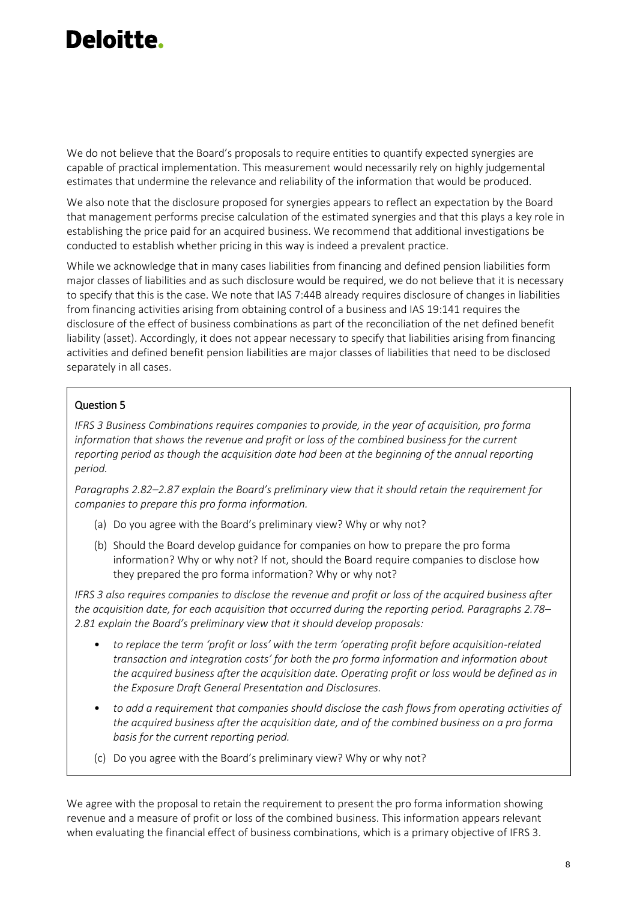We do not believe that the Board's proposals to require entities to quantify expected synergies are capable of practical implementation. This measurement would necessarily rely on highly judgemental estimates that undermine the relevance and reliability of the information that would be produced.

We also note that the disclosure proposed for synergies appears to reflect an expectation by the Board that management performs precise calculation of the estimated synergies and that this plays a key role in establishing the price paid for an acquired business. We recommend that additional investigations be conducted to establish whether pricing in this way is indeed a prevalent practice.

While we acknowledge that in many cases liabilities from financing and defined pension liabilities form major classes of liabilities and as such disclosure would be required, we do not believe that it is necessary to specify that this is the case. We note that IAS 7:44B already requires disclosure of changes in liabilities from financing activities arising from obtaining control of a business and IAS 19:141 requires the disclosure of the effect of business combinations as part of the reconciliation of the net defined benefit liability (asset). Accordingly, it does not appear necessary to specify that liabilities arising from financing activities and defined benefit pension liabilities are major classes of liabilities that need to be disclosed separately in all cases.

#### Question 5

*IFRS 3 Business Combinations requires companies to provide, in the year of acquisition, pro forma information that shows the revenue and profit or loss of the combined business for the current reporting period as though the acquisition date had been at the beginning of the annual reporting period.*

*Paragraphs 2.82–2.87 explain the Board's preliminary view that it should retain the requirement for companies to prepare this pro forma information.*

- (a) Do you agree with the Board's preliminary view? Why or why not?
- (b) Should the Board develop guidance for companies on how to prepare the pro forma information? Why or why not? If not, should the Board require companies to disclose how they prepared the pro forma information? Why or why not?

*IFRS 3 also requires companies to disclose the revenue and profit or loss of the acquired business after the acquisition date, for each acquisition that occurred during the reporting period. Paragraphs 2.78– 2.81 explain the Board's preliminary view that it should develop proposals:*

- *to replace the term 'profit or loss' with the term 'operating profit before acquisition-related transaction and integration costs' for both the pro forma information and information about the acquired business after the acquisition date. Operating profit or loss would be defined as in the Exposure Draft General Presentation and Disclosures.*
- *to add a requirement that companies should disclose the cash flows from operating activities of the acquired business after the acquisition date, and of the combined business on a pro forma basis for the current reporting period.*
- (c) Do you agree with the Board's preliminary view? Why or why not?

We agree with the proposal to retain the requirement to present the pro forma information showing revenue and a measure of profit or loss of the combined business. This information appears relevant when evaluating the financial effect of business combinations, which is a primary objective of IFRS 3.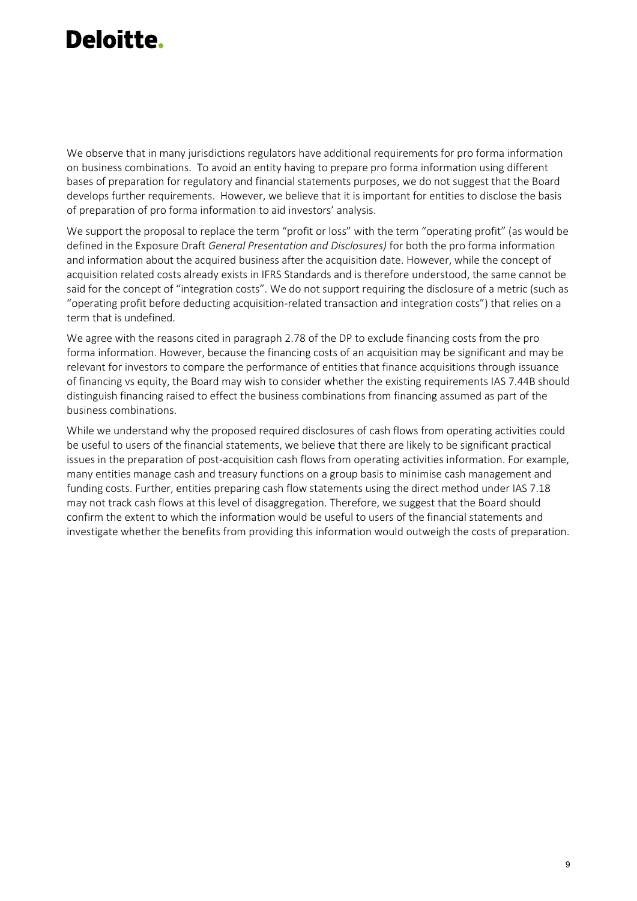We observe that in many jurisdictions regulators have additional requirements for pro forma information on business combinations. To avoid an entity having to prepare pro forma information using different bases of preparation for regulatory and financial statements purposes, we do not suggest that the Board develops further requirements. However, we believe that it is important for entities to disclose the basis of preparation of pro forma information to aid investors' analysis.

We support the proposal to replace the term "profit or loss" with the term "operating profit" (as would be defined in the Exposure Draft *General Presentation and Disclosures)* for both the pro forma information and information about the acquired business after the acquisition date. However, while the concept of acquisition related costs already exists in IFRS Standards and is therefore understood, the same cannot be said for the concept of "integration costs". We do not support requiring the disclosure of a metric (such as "operating profit before deducting acquisition-related transaction and integration costs") that relies on a term that is undefined.

We agree with the reasons cited in paragraph 2.78 of the DP to exclude financing costs from the pro forma information. However, because the financing costs of an acquisition may be significant and may be relevant for investors to compare the performance of entities that finance acquisitions through issuance of financing vs equity, the Board may wish to consider whether the existing requirements IAS 7.44B should distinguish financing raised to effect the business combinations from financing assumed as part of the business combinations.

While we understand why the proposed required disclosures of cash flows from operating activities could be useful to users of the financial statements, we believe that there are likely to be significant practical issues in the preparation of post-acquisition cash flows from operating activities information. For example, many entities manage cash and treasury functions on a group basis to minimise cash management and funding costs. Further, entities preparing cash flow statements using the direct method under IAS 7.18 may not track cash flows at this level of disaggregation. Therefore, we suggest that the Board should confirm the extent to which the information would be useful to users of the financial statements and investigate whether the benefits from providing this information would outweigh the costs of preparation.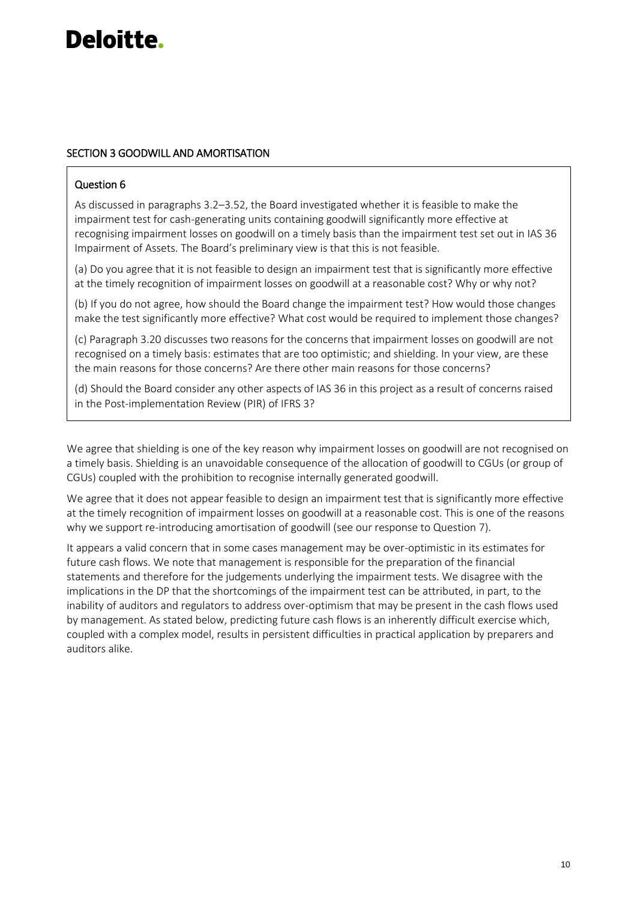#### SECTION 3 GOODWILL AND AMORTISATION

#### Question 6

As discussed in paragraphs 3.2–3.52, the Board investigated whether it is feasible to make the impairment test for cash-generating units containing goodwill significantly more effective at recognising impairment losses on goodwill on a timely basis than the impairment test set out in IAS 36 Impairment of Assets. The Board's preliminary view is that this is not feasible.

(a) Do you agree that it is not feasible to design an impairment test that is significantly more effective at the timely recognition of impairment losses on goodwill at a reasonable cost? Why or why not?

(b) If you do not agree, how should the Board change the impairment test? How would those changes make the test significantly more effective? What cost would be required to implement those changes?

(c) Paragraph 3.20 discusses two reasons for the concerns that impairment losses on goodwill are not recognised on a timely basis: estimates that are too optimistic; and shielding. In your view, are these the main reasons for those concerns? Are there other main reasons for those concerns?

(d) Should the Board consider any other aspects of IAS 36 in this project as a result of concerns raised in the Post-implementation Review (PIR) of IFRS 3?

We agree that shielding is one of the key reason why impairment losses on goodwill are not recognised on a timely basis. Shielding is an unavoidable consequence of the allocation of goodwill to CGUs (or group of CGUs) coupled with the prohibition to recognise internally generated goodwill.

We agree that it does not appear feasible to design an impairment test that is significantly more effective at the timely recognition of impairment losses on goodwill at a reasonable cost. This is one of the reasons why we support re-introducing amortisation of goodwill (see our response to Question 7).

It appears a valid concern that in some cases management may be over-optimistic in its estimates for future cash flows. We note that management is responsible for the preparation of the financial statements and therefore for the judgements underlying the impairment tests. We disagree with the implications in the DP that the shortcomings of the impairment test can be attributed, in part, to the inability of auditors and regulators to address over-optimism that may be present in the cash flows used by management. As stated below, predicting future cash flows is an inherently difficult exercise which, coupled with a complex model, results in persistent difficulties in practical application by preparers and auditors alike.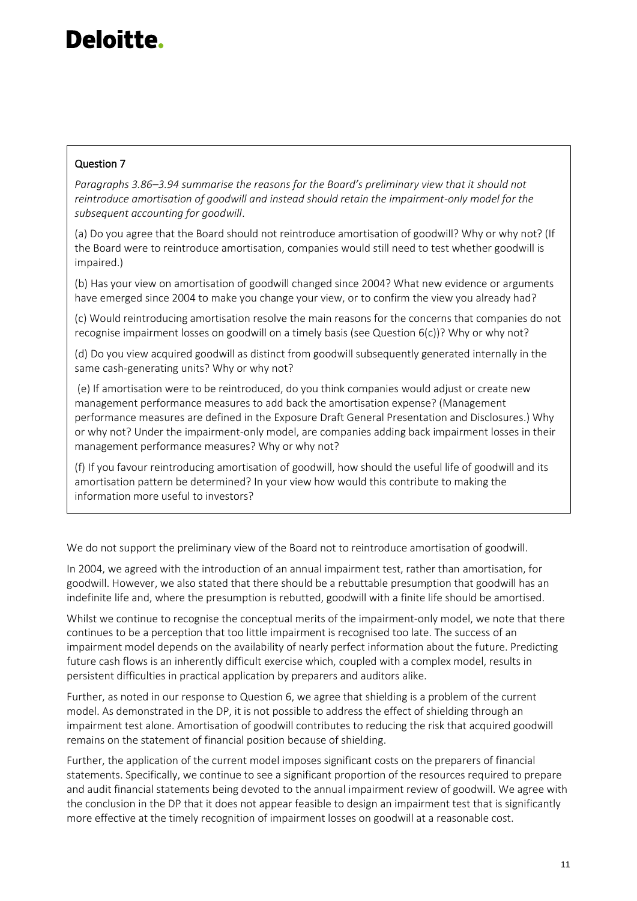#### Question 7

*Paragraphs 3.86–3.94 summarise the reasons for the Board's preliminary view that it should not reintroduce amortisation of goodwill and instead should retain the impairment-only model for the subsequent accounting for goodwill*.

(a) Do you agree that the Board should not reintroduce amortisation of goodwill? Why or why not? (If the Board were to reintroduce amortisation, companies would still need to test whether goodwill is impaired.)

(b) Has your view on amortisation of goodwill changed since 2004? What new evidence or arguments have emerged since 2004 to make you change your view, or to confirm the view you already had?

(c) Would reintroducing amortisation resolve the main reasons for the concerns that companies do not recognise impairment losses on goodwill on a timely basis (see Question 6(c))? Why or why not?

(d) Do you view acquired goodwill as distinct from goodwill subsequently generated internally in the same cash-generating units? Why or why not?

(e) If amortisation were to be reintroduced, do you think companies would adjust or create new management performance measures to add back the amortisation expense? (Management performance measures are defined in the Exposure Draft General Presentation and Disclosures.) Why or why not? Under the impairment-only model, are companies adding back impairment losses in their management performance measures? Why or why not?

(f) If you favour reintroducing amortisation of goodwill, how should the useful life of goodwill and its amortisation pattern be determined? In your view how would this contribute to making the information more useful to investors?

We do not support the preliminary view of the Board not to reintroduce amortisation of goodwill.

In 2004, we agreed with the introduction of an annual impairment test, rather than amortisation, for goodwill. However, we also stated that there should be a rebuttable presumption that goodwill has an indefinite life and, where the presumption is rebutted, goodwill with a finite life should be amortised.

Whilst we continue to recognise the conceptual merits of the impairment-only model, we note that there continues to be a perception that too little impairment is recognised too late. The success of an impairment model depends on the availability of nearly perfect information about the future. Predicting future cash flows is an inherently difficult exercise which, coupled with a complex model, results in persistent difficulties in practical application by preparers and auditors alike.

Further, as noted in our response to Question 6, we agree that shielding is a problem of the current model. As demonstrated in the DP, it is not possible to address the effect of shielding through an impairment test alone. Amortisation of goodwill contributes to reducing the risk that acquired goodwill remains on the statement of financial position because of shielding.

Further, the application of the current model imposes significant costs on the preparers of financial statements. Specifically, we continue to see a significant proportion of the resources required to prepare and audit financial statements being devoted to the annual impairment review of goodwill. We agree with the conclusion in the DP that it does not appear feasible to design an impairment test that is significantly more effective at the timely recognition of impairment losses on goodwill at a reasonable cost.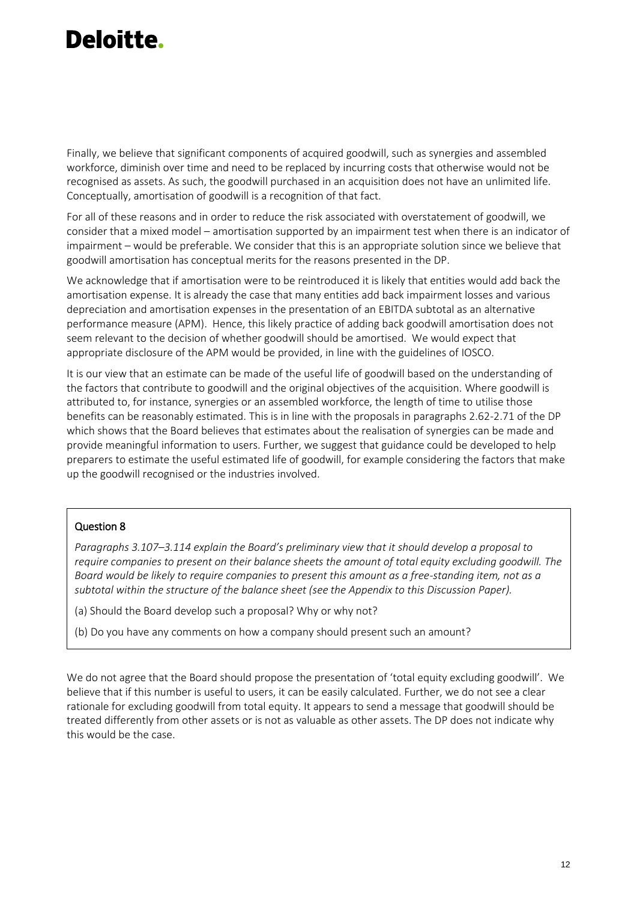Finally, we believe that significant components of acquired goodwill, such as synergies and assembled workforce, diminish over time and need to be replaced by incurring costs that otherwise would not be recognised as assets. As such, the goodwill purchased in an acquisition does not have an unlimited life. Conceptually, amortisation of goodwill is a recognition of that fact.

For all of these reasons and in order to reduce the risk associated with overstatement of goodwill, we consider that a mixed model – amortisation supported by an impairment test when there is an indicator of impairment – would be preferable. We consider that this is an appropriate solution since we believe that goodwill amortisation has conceptual merits for the reasons presented in the DP.

We acknowledge that if amortisation were to be reintroduced it is likely that entities would add back the amortisation expense. It is already the case that many entities add back impairment losses and various depreciation and amortisation expenses in the presentation of an EBITDA subtotal as an alternative performance measure (APM). Hence, this likely practice of adding back goodwill amortisation does not seem relevant to the decision of whether goodwill should be amortised. We would expect that appropriate disclosure of the APM would be provided, in line with the guidelines of IOSCO.

It is our view that an estimate can be made of the useful life of goodwill based on the understanding of the factors that contribute to goodwill and the original objectives of the acquisition. Where goodwill is attributed to, for instance, synergies or an assembled workforce, the length of time to utilise those benefits can be reasonably estimated. This is in line with the proposals in paragraphs 2.62-2.71 of the DP which shows that the Board believes that estimates about the realisation of synergies can be made and provide meaningful information to users. Further, we suggest that guidance could be developed to help preparers to estimate the useful estimated life of goodwill, for example considering the factors that make up the goodwill recognised or the industries involved.

#### Question 8

*Paragraphs 3.107–3.114 explain the Board's preliminary view that it should develop a proposal to require companies to present on their balance sheets the amount of total equity excluding goodwill. The Board would be likely to require companies to present this amount as a free-standing item, not as a subtotal within the structure of the balance sheet (see the Appendix to this Discussion Paper).*

- (a) Should the Board develop such a proposal? Why or why not?
- (b) Do you have any comments on how a company should present such an amount?

We do not agree that the Board should propose the presentation of 'total equity excluding goodwill'. We believe that if this number is useful to users, it can be easily calculated. Further, we do not see a clear rationale for excluding goodwill from total equity. It appears to send a message that goodwill should be treated differently from other assets or is not as valuable as other assets. The DP does not indicate why this would be the case.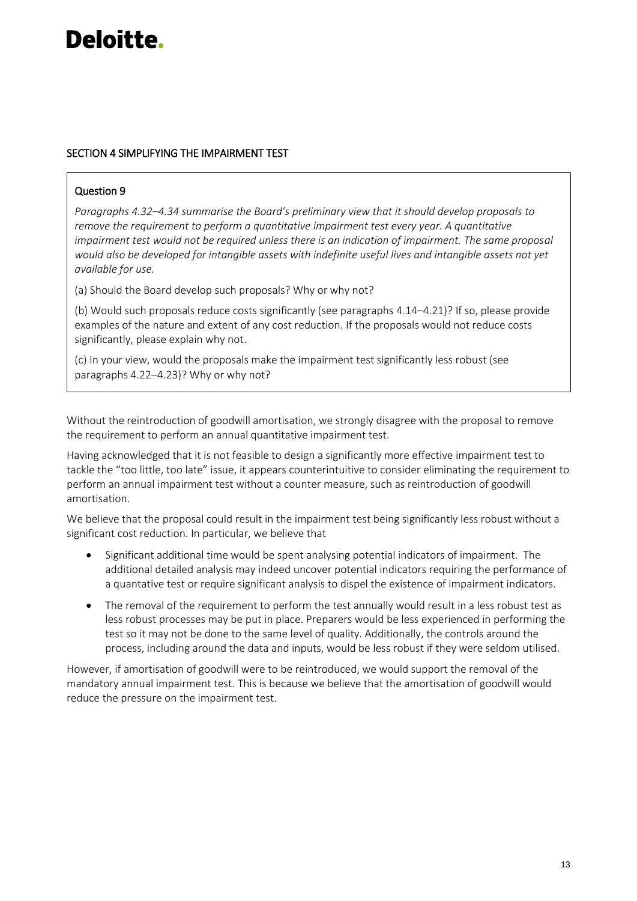#### SECTION 4 SIMPLIFYING THE IMPAIRMENT TEST

#### Question 9

*Paragraphs 4.32–4.34 summarise the Board's preliminary view that it should develop proposals to remove the requirement to perform a quantitative impairment test every year. A quantitative impairment test would not be required unless there is an indication of impairment. The same proposal would also be developed for intangible assets with indefinite useful lives and intangible assets not yet available for use.*

(a) Should the Board develop such proposals? Why or why not?

(b) Would such proposals reduce costs significantly (see paragraphs 4.14–4.21)? If so, please provide examples of the nature and extent of any cost reduction. If the proposals would not reduce costs significantly, please explain why not.

(c) In your view, would the proposals make the impairment test significantly less robust (see paragraphs 4.22–4.23)? Why or why not?

Without the reintroduction of goodwill amortisation, we strongly disagree with the proposal to remove the requirement to perform an annual quantitative impairment test.

Having acknowledged that it is not feasible to design a significantly more effective impairment test to tackle the "too little, too late" issue, it appears counterintuitive to consider eliminating the requirement to perform an annual impairment test without a counter measure, such as reintroduction of goodwill amortisation.

We believe that the proposal could result in the impairment test being significantly less robust without a significant cost reduction. In particular, we believe that

- Significant additional time would be spent analysing potential indicators of impairment. The additional detailed analysis may indeed uncover potential indicators requiring the performance of a quantative test or require significant analysis to dispel the existence of impairment indicators.
- The removal of the requirement to perform the test annually would result in a less robust test as less robust processes may be put in place. Preparers would be less experienced in performing the test so it may not be done to the same level of quality. Additionally, the controls around the process, including around the data and inputs, would be less robust if they were seldom utilised.

However, if amortisation of goodwill were to be reintroduced, we would support the removal of the mandatory annual impairment test. This is because we believe that the amortisation of goodwill would reduce the pressure on the impairment test.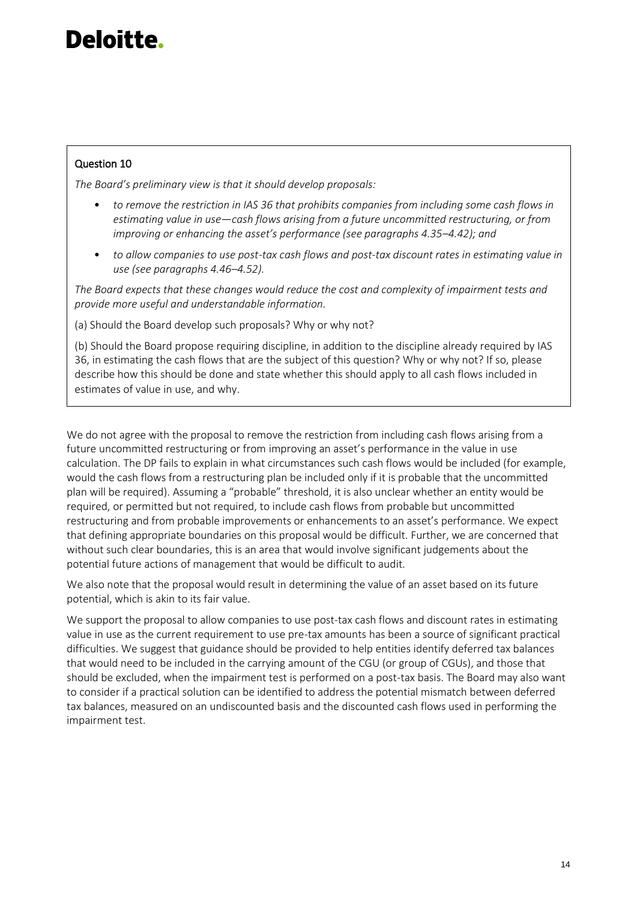#### Question 10

*The Board's preliminary view is that it should develop proposals:*

- *to remove the restriction in IAS 36 that prohibits companies from including some cash flows in estimating value in use—cash flows arising from a future uncommitted restructuring, or from improving or enhancing the asset's performance (see paragraphs 4.35–4.42); and*
- *to allow companies to use post-tax cash flows and post-tax discount rates in estimating value in use (see paragraphs 4.46–4.52).*

*The Board expects that these changes would reduce the cost and complexity of impairment tests and provide more useful and understandable information.*

(a) Should the Board develop such proposals? Why or why not?

(b) Should the Board propose requiring discipline, in addition to the discipline already required by IAS 36, in estimating the cash flows that are the subject of this question? Why or why not? If so, please describe how this should be done and state whether this should apply to all cash flows included in estimates of value in use, and why.

We do not agree with the proposal to remove the restriction from including cash flows arising from a future uncommitted restructuring or from improving an asset's performance in the value in use calculation. The DP fails to explain in what circumstances such cash flows would be included (for example, would the cash flows from a restructuring plan be included only if it is probable that the uncommitted plan will be required). Assuming a "probable" threshold, it is also unclear whether an entity would be required, or permitted but not required, to include cash flows from probable but uncommitted restructuring and from probable improvements or enhancements to an asset's performance. We expect that defining appropriate boundaries on this proposal would be difficult. Further, we are concerned that without such clear boundaries, this is an area that would involve significant judgements about the potential future actions of management that would be difficult to audit.

We also note that the proposal would result in determining the value of an asset based on its future potential, which is akin to its fair value.

We support the proposal to allow companies to use post-tax cash flows and discount rates in estimating value in use as the current requirement to use pre-tax amounts has been a source of significant practical difficulties. We suggest that guidance should be provided to help entities identify deferred tax balances that would need to be included in the carrying amount of the CGU (or group of CGUs), and those that should be excluded, when the impairment test is performed on a post-tax basis. The Board may also want to consider if a practical solution can be identified to address the potential mismatch between deferred tax balances, measured on an undiscounted basis and the discounted cash flows used in performing the impairment test.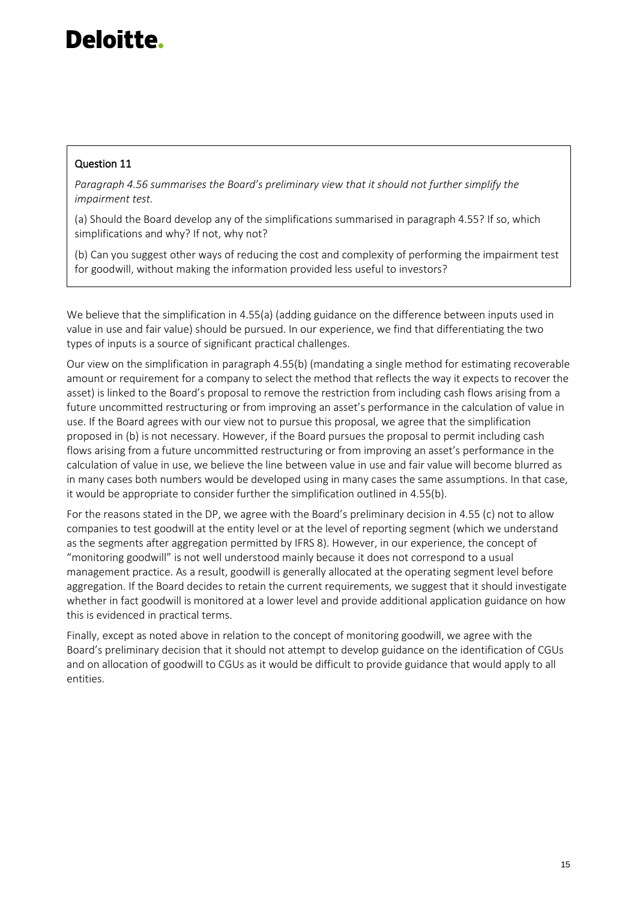#### Question 11

*Paragraph 4.56 summarises the Board's preliminary view that it should not further simplify the impairment test.*

(a) Should the Board develop any of the simplifications summarised in paragraph 4.55? If so, which simplifications and why? If not, why not?

(b) Can you suggest other ways of reducing the cost and complexity of performing the impairment test for goodwill, without making the information provided less useful to investors?

We believe that the simplification in 4.55(a) (adding guidance on the difference between inputs used in value in use and fair value) should be pursued. In our experience, we find that differentiating the two types of inputs is a source of significant practical challenges.

Our view on the simplification in paragraph 4.55(b) (mandating a single method for estimating recoverable amount or requirement for a company to select the method that reflects the way it expects to recover the asset) is linked to the Board's proposal to remove the restriction from including cash flows arising from a future uncommitted restructuring or from improving an asset's performance in the calculation of value in use. If the Board agrees with our view not to pursue this proposal, we agree that the simplification proposed in (b) is not necessary. However, if the Board pursues the proposal to permit including cash flows arising from a future uncommitted restructuring or from improving an asset's performance in the calculation of value in use, we believe the line between value in use and fair value will become blurred as in many cases both numbers would be developed using in many cases the same assumptions. In that case, it would be appropriate to consider further the simplification outlined in 4.55(b).

For the reasons stated in the DP, we agree with the Board's preliminary decision in 4.55 (c) not to allow companies to test goodwill at the entity level or at the level of reporting segment (which we understand as the segments after aggregation permitted by IFRS 8). However, in our experience, the concept of "monitoring goodwill" is not well understood mainly because it does not correspond to a usual management practice. As a result, goodwill is generally allocated at the operating segment level before aggregation. If the Board decides to retain the current requirements, we suggest that it should investigate whether in fact goodwill is monitored at a lower level and provide additional application guidance on how this is evidenced in practical terms.

Finally, except as noted above in relation to the concept of monitoring goodwill, we agree with the Board's preliminary decision that it should not attempt to develop guidance on the identification of CGUs and on allocation of goodwill to CGUs as it would be difficult to provide guidance that would apply to all entities.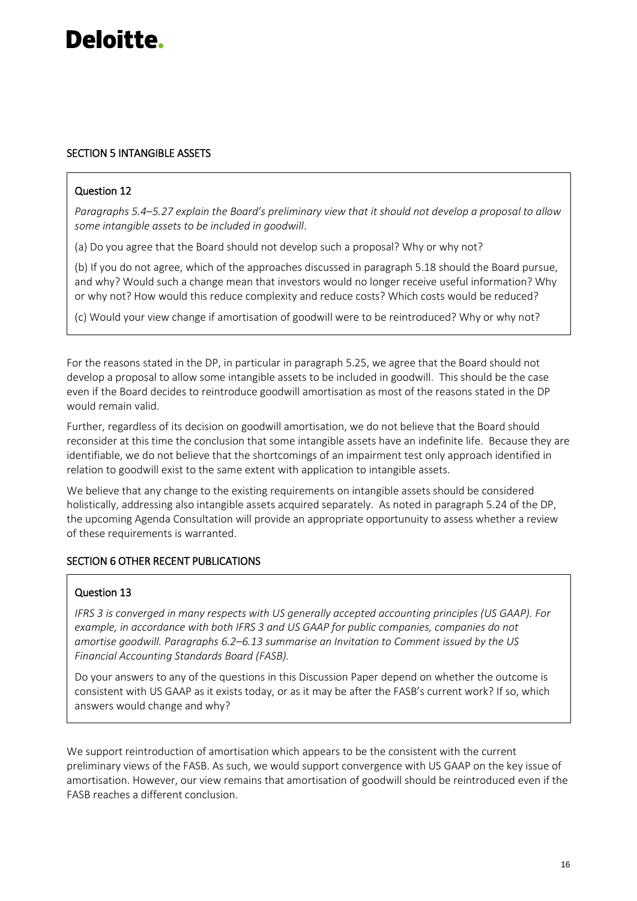#### SECTION 5 INTANGIBLE ASSETS

#### Question 12

*Paragraphs 5.4–5.27 explain the Board's preliminary view that it should not develop a proposal to allow some intangible assets to be included in goodwill*.

(a) Do you agree that the Board should not develop such a proposal? Why or why not?

(b) If you do not agree, which of the approaches discussed in paragraph 5.18 should the Board pursue, and why? Would such a change mean that investors would no longer receive useful information? Why or why not? How would this reduce complexity and reduce costs? Which costs would be reduced?

(c) Would your view change if amortisation of goodwill were to be reintroduced? Why or why not?

For the reasons stated in the DP, in particular in paragraph 5.25, we agree that the Board should not develop a proposal to allow some intangible assets to be included in goodwill. This should be the case even if the Board decides to reintroduce goodwill amortisation as most of the reasons stated in the DP would remain valid.

Further, regardless of its decision on goodwill amortisation, we do not believe that the Board should reconsider at this time the conclusion that some intangible assets have an indefinite life. Because they are identifiable, we do not believe that the shortcomings of an impairment test only approach identified in relation to goodwill exist to the same extent with application to intangible assets.

We believe that any change to the existing requirements on intangible assets should be considered holistically, addressing also intangible assets acquired separately. As noted in paragraph 5.24 of the DP, the upcoming Agenda Consultation will provide an appropriate opportunuity to assess whether a review of these requirements is warranted.

#### SECTION 6 OTHER RECENT PUBLICATIONS

#### Question 13

*IFRS 3 is converged in many respects with US generally accepted accounting principles (US GAAP). For example, in accordance with both IFRS 3 and US GAAP for public companies, companies do not amortise goodwill. Paragraphs 6.2–6.13 summarise an Invitation to Comment issued by the US Financial Accounting Standards Board (FASB).*

Do your answers to any of the questions in this Discussion Paper depend on whether the outcome is consistent with US GAAP as it exists today, or as it may be after the FASB's current work? If so, which answers would change and why?

We support reintroduction of amortisation which appears to be the consistent with the current preliminary views of the FASB. As such, we would support convergence with US GAAP on the key issue of amortisation. However, our view remains that amortisation of goodwill should be reintroduced even if the FASB reaches a different conclusion.